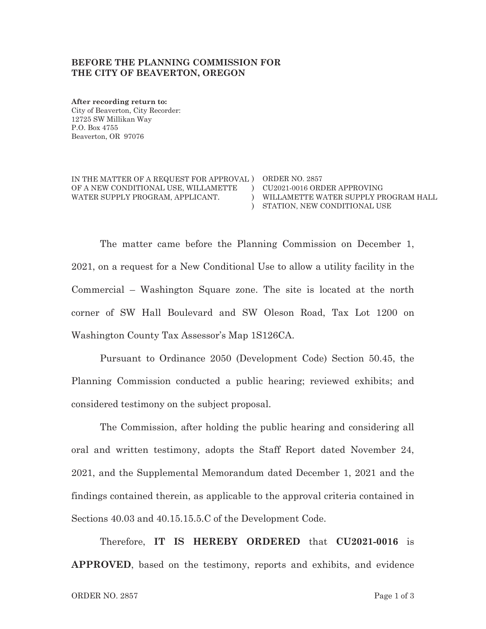## **BEFORE THE PLANNING COMMISSION FOR** THE CITY OF BEAVERTON, OREGON

After recording return to: City of Beaverton, City Recorder: 12725 SW Millikan Way P.O. Box 4755 Beaverton, OR 97076

IN THE MATTER OF A REQUEST FOR APPROVAL ) ORDER NO. 2857 OF A NEW CONDITIONAL USE, WILLAMETTE WATER SUPPLY PROGRAM, APPLICANT.

 $\rm _{C U 2021-0016~ORDER~APPROVING}$ WILLAMETTE WATER SUPPLY PROGRAM HALL ) STATION, NEW CONDITIONAL USE

The matter came before the Planning Commission on December 1, 2021, on a request for a New Conditional Use to allow a utility facility in the Commercial – Washington Square zone. The site is located at the north corner of SW Hall Boulevard and SW Oleson Road, Tax Lot 1200 on Washington County Tax Assessor's Map 1S126CA.

Pursuant to Ordinance 2050 (Development Code) Section 50.45, the Planning Commission conducted a public hearing; reviewed exhibits; and considered testimony on the subject proposal.

The Commission, after holding the public hearing and considering all oral and written testimony, adopts the Staff Report dated November 24, 2021, and the Supplemental Memorandum dated December 1, 2021 and the findings contained therein, as applicable to the approval criteria contained in Sections 40.03 and 40.15.15.5.C of the Development Code.

Therefore, IT IS HEREBY ORDERED that CU2021-0016 is **APPROVED**, based on the testimony, reports and exhibits, and evidence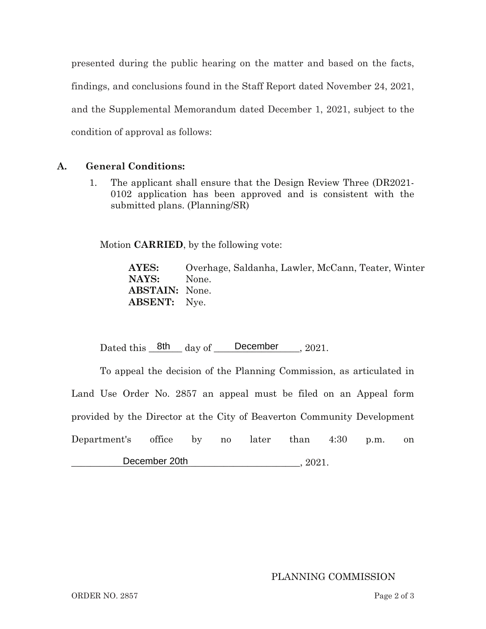presented during the public hearing on the matter and based on the facts, findings, and conclusions found in the Staff Report dated November 24, 2021, and the Supplemental Memorandum dated December 1, 2021, subject to the condition of approval as follows:

## **A**. **General Conditions:**

 $1<sub>1</sub>$ . The applicant shall ensure that the Design Review Three (DR2021- $0102$  application has been approved and is consistent with the submitted plans. (Planning/SR)

Motion **CARRIED**, by the following vote:

**AYES:** Overhage, Saldanha, Lawler, McCann, Teater, Winter **NAYS:** None. **ABSTAIN:** None. **ABSENT:** Nye.

Dated this  $-$ 8th day of December  $\qquad$ , 2021 December 2021.

To appeal the decision of the Planning Commission, as articulated in Land Use Order No. 2857 an appeal must be filed on an Appeal form provided by the Director at the City of Beaverton Community Development Department's s office by no later than 4:30 p.m. on **December 20th** 20th, 2021  $, 2021.$